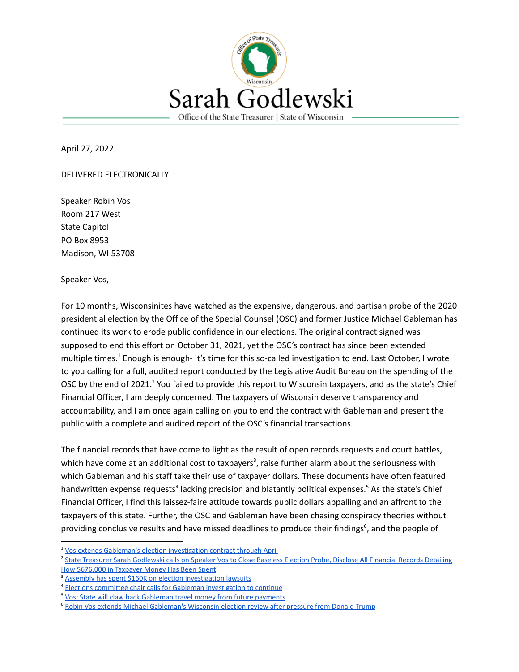

April 27, 2022

DELIVERED ELECTRONICALLY

Speaker Robin Vos Room 217 West State Capitol PO Box 8953 Madison, WI 53708

Speaker Vos,

For 10 months, Wisconsinites have watched as the expensive, dangerous, and partisan probe of the 2020 presidential election by the Office of the Special Counsel (OSC) and former Justice Michael Gableman has continued its work to erode public confidence in our elections. The original contract signed was supposed to end this effort on October 31, 2021, yet the OSC's contract has since been extended multiple times.<sup>1</sup> Enough is enough- it's time for this so-called investigation to end. Last October, I wrote to you calling for a full, audited report conducted by the Legislative Audit Bureau on the spending of the OSC by the end of 2021.<sup>2</sup> You failed to provide this report to Wisconsin taxpayers, and as the state's Chief Financial Officer, I am deeply concerned. The taxpayers of Wisconsin deserve transparency and accountability, and I am once again calling on you to end the contract with Gableman and present the public with a complete and audited report of the OSC's financial transactions.

The financial records that have come to light as the result of open records requests and court battles, which have come at an additional cost to taxpayers<sup>3</sup>, raise further alarm about the seriousness with which Gableman and his staff take their use of taxpayer dollars. These documents have often featured handwritten expense requests<sup>4</sup> lacking precision and blatantly political expenses.<sup>5</sup> As the state's Chief Financial Officer, I find this laissez-faire attitude towards public dollars appalling and an affront to the taxpayers of this state. Further, the OSC and Gableman have been chasing conspiracy theories without providing conclusive results and have missed deadlines to produce their findings<sup>6</sup>, and the people of

<sup>&</sup>lt;sup>1</sup> [Vos extends Gableman's election investigation contract](https://www.wispolitics.com/2022/vos-extends-gablemans-election-investigation-contract-through-april/) through April

<sup>&</sup>lt;sup>2</sup> State Treasurer Sarah Godlewski calls on Speaker [Vos to Close Baseless Election Probe, Disclose All Financial Records Detailing](https://content.govdelivery.com/accounts/WIGOV/bulletins/2f9d232) [How \\$676,000 in Taxpayer Money Has Been Spent](https://content.govdelivery.com/accounts/WIGOV/bulletins/2f9d232)

[Assembly has spent \\$160K on election investigation](https://www.cbs58.com/news/assembly-has-spent-160k-on-election-investigation-lawsuits) lawsuits

<sup>&</sup>lt;sup>4</sup> [Elections committee chair calls for Gableman investigation](https://www.wqow.com/news/politics/elections-committee-chair-calls-for-gableman-investigation-to-continue/article_8743e475-de23-5a5a-ac74-9e85bfccbfd7.html) to continue

<sup>&</sup>lt;sup>5</sup> [Vos: State will claw back Gableman travel money from](https://www.wkow.com/news/vos-state-will-claw-back-gableman-travel-money-from-future-payments/article_1bea75fa-a17c-11ec-802f-73f36bf8370c.html) future payments

<sup>&</sup>lt;sup>6</sup> [Robin Vos extends Michael Gableman's Wisconsin election](https://www.jsonline.com/story/news/2022/04/25/trump-turns-up-heat-vos-keep-gableman-election-probe-alive/7445686001/) review after pressure from Donald Trump